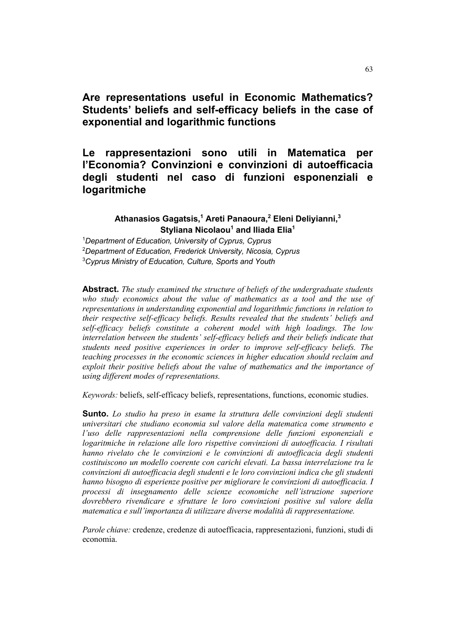# **Are representations useful in Economic Mathematics? Students' beliefs and self-efficacy beliefs in the case of exponential and logarithmic functions**

# **Le rappresentazioni sono utili in Matematica per l'Economia? Convinzioni e convinzioni di autoefficacia degli studenti nel caso di funzioni esponenziali e logaritmiche**

## **Athanasios Gagatsis, <sup>1</sup> Areti Panaoura, <sup>2</sup> Eleni Deliyianni, 3 Styliana Nicolaou1 and Iliada Elia1**

<sup>1</sup>*Department of Education, University of Cyprus, Cyprus* <sup>2</sup>*Department of Education, Frederick University, Nicosia, Cyprus* <sup>3</sup>*Cyprus Ministry of Education, Culture, Sports and Youth*

**Abstract.** *The study examined the structure of beliefs of the undergraduate students who study economics about the value of mathematics as a tool and the use of representations in understanding exponential and logarithmic functions in relation to their respective self-efficacy beliefs. Results revealed that the students' beliefs and self-efficacy beliefs constitute a coherent model with high loadings. The low interrelation between the students' self-efficacy beliefs and their beliefs indicate that students need positive experiences in order to improve self-efficacy beliefs. The teaching processes in the economic sciences in higher education should reclaim and exploit their positive beliefs about the value of mathematics and the importance of using different modes of representations.*

*Keywords:* beliefs, self-efficacy beliefs, representations, functions, economic studies.

**Sunto.** *Lo studio ha preso in esame la struttura delle convinzioni degli studenti universitari che studiano economia sul valore della matematica come strumento e l'uso delle rappresentazioni nella comprensione delle funzioni esponenziali e logaritmiche in relazione alle loro rispettive convinzioni di autoefficacia. I risultati hanno rivelato che le convinzioni e le convinzioni di autoefficacia degli studenti costituiscono un modello coerente con carichi elevati. La bassa interrelazione tra le convinzioni di autoefficacia degli studenti e le loro convinzioni indica che gli studenti hanno bisogno di esperienze positive per migliorare le convinzioni di autoefficacia. I processi di insegnamento delle scienze economiche nell'istruzione superiore dovrebbero rivendicare e sfruttare le loro convinzioni positive sul valore della matematica e sull'importanza di utilizzare diverse modalità di rappresentazione.*

*Parole chiave:* credenze, credenze di autoefficacia, rappresentazioni, funzioni, studi di economia.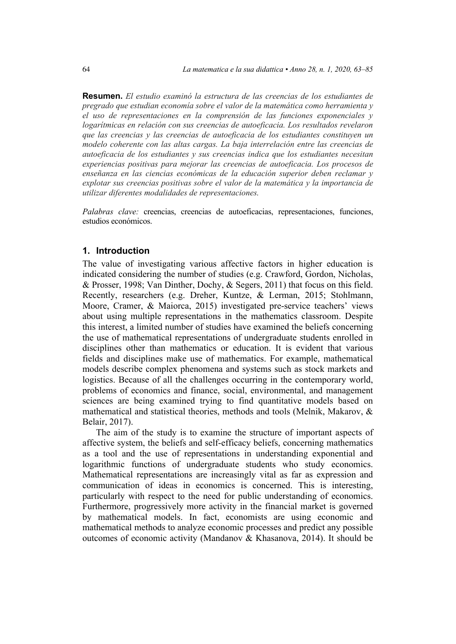**Resumen.** *El estudio examinó la estructura de las creencias de los estudiantes de pregrado que estudian economía sobre el valor de la matemática como herramienta y el uso de representaciones en la comprensión de las funciones exponenciales y logarítmicas en relación con sus creencias de autoeficacia. Los resultados revelaron que las creencias y las creencias de autoeficacia de los estudiantes constituyen un modelo coherente con las altas cargas. La baja interrelación entre las creencias de autoeficacia de los estudiantes y sus creencias indica que los estudiantes necesitan experiencias positivas para mejorar las creencias de autoeficacia. Los procesos de enseñanza en las ciencias económicas de la educación superior deben reclamar y explotar sus creencias positivas sobre el valor de la matemática y la importancia de utilizar diferentes modalidades de representaciones.*

*Palabras clave:* creencias, creencias de autoeficacias, representaciones, funciones, estudios económicos.

### **1. Introduction**

The value of investigating various affective factors in higher education is indicated considering the number of studies (e.g. Crawford, Gordon, Nicholas, & Prosser, 1998; Van Dinther, Dochy, & Segers, 2011) that focus on this field. Recently, researchers (e.g. Dreher, Kuntze, & Lerman, 2015; Stohlmann, Moore, Cramer, & Maiorca, 2015) investigated pre-service teachers' views about using multiple representations in the mathematics classroom. Despite this interest, a limited number of studies have examined the beliefs concerning the use of mathematical representations of undergraduate students enrolled in disciplines other than mathematics or education. It is evident that various fields and disciplines make use of mathematics. For example, mathematical models describe complex phenomena and systems such as stock markets and logistics. Because of all the challenges occurring in the contemporary world, problems of economics and finance, social, environmental, and management sciences are being examined trying to find quantitative models based on mathematical and statistical theories, methods and tools (Melnik, Makarov, & Belair, 2017).

The aim of the study is to examine the structure of important aspects of affective system, the beliefs and self-efficacy beliefs, concerning mathematics as a tool and the use of representations in understanding exponential and logarithmic functions of undergraduate students who study economics. Mathematical representations are increasingly vital as far as expression and communication of ideas in economics is concerned. This is interesting, particularly with respect to the need for public understanding of economics. Furthermore, progressively more activity in the financial market is governed by mathematical models. In fact, economists are using economic and mathematical methods to analyze economic processes and predict any possible outcomes of economic activity (Mandanov & Khasanova, 2014). It should be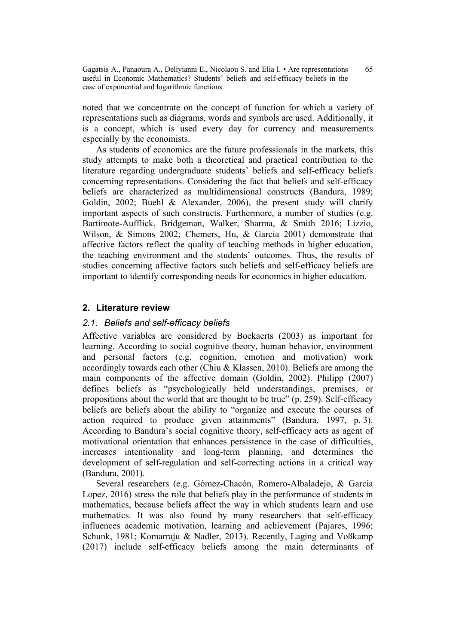noted that we concentrate on the concept of function for which a variety of representations such as diagrams, words and symbols are used. Additionally, it is a concept, which is used every day for currency and measurements especially by the economists.

As students of economics are the future professionals in the markets, this study attempts to make both a theoretical and practical contribution to the literature regarding undergraduate students' beliefs and self-efficacy beliefs concerning representations. Considering the fact that beliefs and self-efficacy beliefs are characterized as multidimensional constructs (Bandura, 1989; Goldin, 2002; Buehl & Alexander, 2006), the present study will clarify important aspects of such constructs. Furthermore, a number of studies (e.g. Bartimote-Aufflick, Bridgeman, Walker, Sharma, & Smith 2016; Lizzio, Wilson, & Simons 2002; Chemers, Hu, & Garcia 2001) demonstrate that affective factors reflect the quality of teaching methods in higher education, the teaching environment and the students' outcomes. Thus, the results of studies concerning affective factors such beliefs and self-efficacy beliefs are important to identify corresponding needs for economics in higher education.

## **2. Literature review**

# *2.1. Beliefs and self-efficacy beliefs*

Affective variables are considered by Boekaerts (2003) as important for learning. According to social cognitive theory, human behavior, environment and personal factors (e.g. cognition, emotion and motivation) work accordingly towards each other (Chiu & Klassen, 2010). Beliefs are among the main components of the affective domain (Goldin, 2002). Philipp (2007) defines beliefs as "psychologically held understandings, premises, or propositions about the world that are thought to be true" (p. 259). Self-efficacy beliefs are beliefs about the ability to "organize and execute the courses of action required to produce given attainments" (Bandura, 1997, p. 3). According to Bandura's social cognitive theory, self-efficacy acts as agent of motivational orientation that enhances persistence in the case of difficulties, increases intentionality and long-term planning, and determines the development of self-regulation and self-correcting actions in a critical way (Bandura, 2001).

Several researchers (e.g. Gómez-Chacón, Romero-Albaladejo, & Garcia Lopez, 2016) stress the role that beliefs play in the performance of students in mathematics, because beliefs affect the way in which students learn and use mathematics. It was also found by many researchers that self-efficacy influences academic motivation, learning and achievement (Pajares, 1996; Schunk, 1981; Komarraju & Nadler, 2013). Recently, Laging and Voßkamp (2017) include self-efficacy beliefs among the main determinants of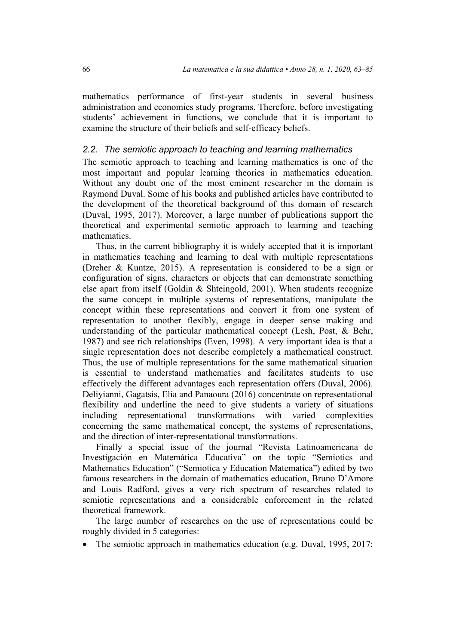mathematics performance of first-year students in several business administration and economics study programs. Therefore, before investigating students' achievement in functions, we conclude that it is important to examine the structure of their beliefs and self-efficacy beliefs.

### *2.2. The semiotic approach to teaching and learning mathematics*

The semiotic approach to teaching and learning mathematics is one of the most important and popular learning theories in mathematics education. Without any doubt one of the most eminent researcher in the domain is Raymond Duval. Some of his books and published articles have contributed to the development of the theoretical background of this domain of research (Duval, 1995, 2017). Moreover, a large number of publications support the theoretical and experimental semiotic approach to learning and teaching mathematics.

Thus, in the current bibliography it is widely accepted that it is important in mathematics teaching and learning to deal with multiple representations (Dreher & Kuntze, 2015). A representation is considered to be a sign or configuration of signs, characters or objects that can demonstrate something else apart from itself (Goldin & Shteingold, 2001). When students recognize the same concept in multiple systems of representations, manipulate the concept within these representations and convert it from one system of representation to another flexibly, engage in deeper sense making and understanding of the particular mathematical concept (Lesh, Post, & Behr, 1987) and see rich relationships (Even, 1998). A very important idea is that a single representation does not describe completely a mathematical construct. Thus, the use of multiple representations for the same mathematical situation is essential to understand mathematics and facilitates students to use effectively the different advantages each representation offers (Duval, 2006). Deliyianni, Gagatsis, Elia and Panaoura (2016) concentrate on representational flexibility and underline the need to give students a variety of situations including representational transformations with varied complexities concerning the same mathematical concept, the systems of representations, and the direction of inter-representational transformations.

Finally a special issue of the journal "Revista Latinoamericana de Investigación en Matemática Educativa" on the topic "Semiotics and Mathematics Education" ("Semiotica y Education Matematica") edited by two famous researchers in the domain of mathematics education, Bruno D'Amore and Louis Radford, gives a very rich spectrum of researches related to semiotic representations and a considerable enforcement in the related theoretical framework.

The large number of researches on the use of representations could be roughly divided in 5 categories:

The semiotic approach in mathematics education (e.g. Duval, 1995, 2017;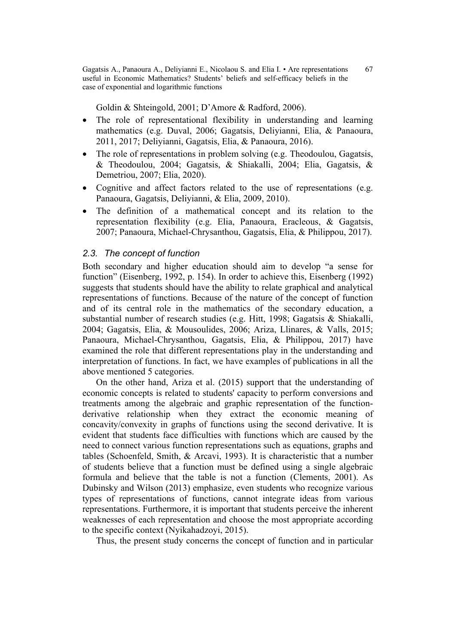Goldin & Shteingold, 2001; D'Amore & Radford, 2006).

- The role of representational flexibility in understanding and learning mathematics (e.g. Duval, 2006; Gagatsis, Deliyianni, Elia, & Panaoura, 2011, 2017; Deliyianni, Gagatsis, Elia, & Panaoura, 2016).
- The role of representations in problem solving (e.g. Theodoulou, Gagatsis, & Theodoulou, 2004; Gagatsis, & Shiakalli, 2004; Elia, Gagatsis, & Demetriou, 2007; Elia, 2020).
- Cognitive and affect factors related to the use of representations (e.g. Panaoura, Gagatsis, Deliyianni, & Elia, 2009, 2010).
- The definition of a mathematical concept and its relation to the representation flexibility (e.g. Elia, Panaoura, Eracleous, & Gagatsis, 2007; Panaoura, Michael-Chrysanthou, Gagatsis, Elia, & Philippou, 2017).

#### *2.3. The concept of function*

Both secondary and higher education should aim to develop "a sense for function" (Eisenberg, 1992, p. 154). In order to achieve this, Eisenberg (1992) suggests that students should have the ability to relate graphical and analytical representations of functions. Because of the nature of the concept of function and of its central role in the mathematics of the secondary education, a substantial number of research studies (e.g. Hitt, 1998; Gagatsis & Shiakalli, 2004; Gagatsis, Elia, & Mousoulides, 2006; Ariza, Llinares, & Valls, 2015; Panaoura, Michael-Chrysanthou, Gagatsis, Elia, & Philippou, 2017) have examined the role that different representations play in the understanding and interpretation of functions. In fact, we have examples of publications in all the above mentioned 5 categories.

On the other hand, Ariza et al. (2015) support that the understanding of economic concepts is related to students' capacity to perform conversions and treatments among the algebraic and graphic representation of the functionderivative relationship when they extract the economic meaning of concavity/convexity in graphs of functions using the second derivative. It is evident that students face difficulties with functions which are caused by the need to connect various function representations such as equations, graphs and tables (Schoenfeld, Smith, & Arcavi, 1993). It is characteristic that a number of students believe that a function must be defined using a single algebraic formula and believe that the table is not a function (Clements, 2001). As Dubinsky and Wilson (2013) emphasize, even students who recognize various types of representations of functions, cannot integrate ideas from various representations. Furthermore, it is important that students perceive the inherent weaknesses of each representation and choose the most appropriate according to the specific context (Nyikahadzoyi, 2015).

Thus, the present study concerns the concept of function and in particular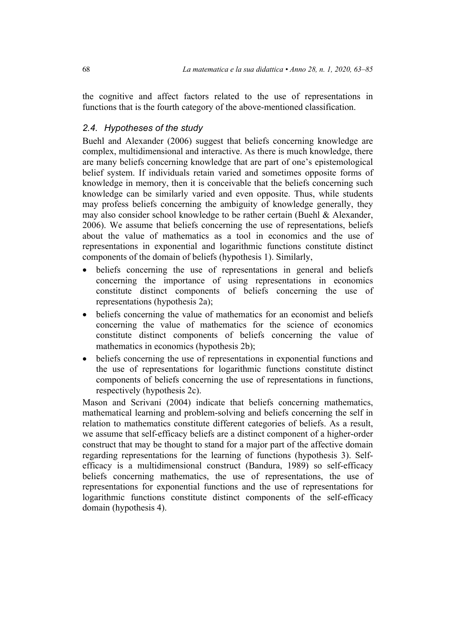the cognitive and affect factors related to the use of representations in functions that is the fourth category of the above-mentioned classification.

# *2.4. Hypotheses of the study*

Buehl and Alexander (2006) suggest that beliefs concerning knowledge are complex, multidimensional and interactive. As there is much knowledge, there are many beliefs concerning knowledge that are part of one's epistemological belief system. If individuals retain varied and sometimes opposite forms of knowledge in memory, then it is conceivable that the beliefs concerning such knowledge can be similarly varied and even opposite. Thus, while students may profess beliefs concerning the ambiguity of knowledge generally, they may also consider school knowledge to be rather certain (Buehl & Alexander, 2006). We assume that beliefs concerning the use of representations, beliefs about the value of mathematics as a tool in economics and the use of representations in exponential and logarithmic functions constitute distinct components of the domain of beliefs (hypothesis 1). Similarly,

- beliefs concerning the use of representations in general and beliefs concerning the importance of using representations in economics constitute distinct components of beliefs concerning the use of representations (hypothesis 2a);
- beliefs concerning the value of mathematics for an economist and beliefs concerning the value of mathematics for the science of economics constitute distinct components of beliefs concerning the value of mathematics in economics (hypothesis 2b);
- beliefs concerning the use of representations in exponential functions and the use of representations for logarithmic functions constitute distinct components of beliefs concerning the use of representations in functions, respectively (hypothesis 2c).

Mason and Scrivani (2004) indicate that beliefs concerning mathematics, mathematical learning and problem-solving and beliefs concerning the self in relation to mathematics constitute different categories of beliefs. As a result, we assume that self-efficacy beliefs are a distinct component of a higher-order construct that may be thought to stand for a major part of the affective domain regarding representations for the learning of functions (hypothesis 3). Selfefficacy is a multidimensional construct (Bandura, 1989) so self-efficacy beliefs concerning mathematics, the use of representations, the use of representations for exponential functions and the use of representations for logarithmic functions constitute distinct components of the self-efficacy domain (hypothesis 4).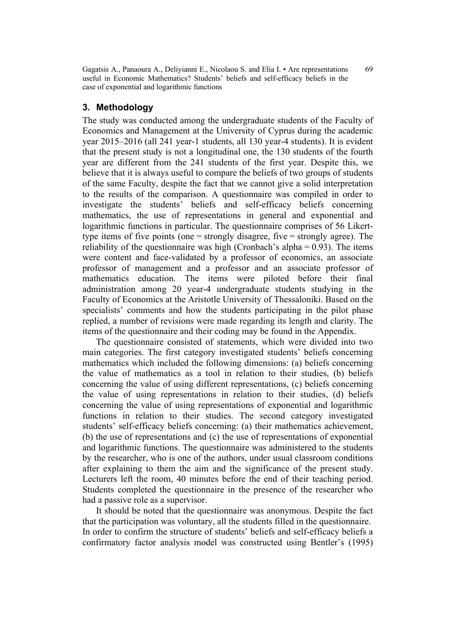# **3. Methodology**

The study was conducted among the undergraduate students of the Faculty of Economics and Management at the University of Cyprus during the academic year 2015–2016 (all 241 year-1 students, all 130 year-4 students). It is evident that the present study is not a longitudinal one, the 130 students of the fourth year are different from the 241 students of the first year. Despite this, we believe that it is always useful to compare the beliefs of two groups of students of the same Faculty, despite the fact that we cannot give a solid interpretation to the results of the comparison. A questionnaire was compiled in order to investigate the students' beliefs and self-efficacy beliefs concerning mathematics, the use of representations in general and exponential and logarithmic functions in particular. The questionnaire comprises of 56 Likerttype items of five points (one = strongly disagree, five = strongly agree). The reliability of the questionnaire was high (Cronbach's alpha  $= 0.93$ ). The items were content and face-validated by a professor of economics, an associate professor of management and a professor and an associate professor of mathematics education. The items were piloted before their final administration among 20 year-4 undergraduate students studying in the Faculty of Economics at the Aristotle University of Thessaloniki. Based on the specialists' comments and how the students participating in the pilot phase replied, a number of revisions were made regarding its length and clarity. The items of the questionnaire and their coding may be found in the Appendix.

The questionnaire consisted of statements, which were divided into two main categories. The first category investigated students' beliefs concerning mathematics which included the following dimensions: (a) beliefs concerning the value of mathematics as a tool in relation to their studies, (b) beliefs concerning the value of using different representations, (c) beliefs concerning the value of using representations in relation to their studies, (d) beliefs concerning the value of using representations of exponential and logarithmic functions in relation to their studies. The second category investigated students' self-efficacy beliefs concerning: (a) their mathematics achievement, (b) the use of representations and (c) the use of representations of exponential and logarithmic functions. The questionnaire was administered to the students by the researcher, who is one of the authors, under usual classroom conditions after explaining to them the aim and the significance of the present study. Lecturers left the room, 40 minutes before the end of their teaching period. Students completed the questionnaire in the presence of the researcher who had a passive role as a supervisor.

It should be noted that the questionnaire was anonymous. Despite the fact that the participation was voluntary, all the students filled in the questionnaire. In order to confirm the structure of students' beliefs and self-efficacy beliefs a confirmatory factor analysis model was constructed using Bentler's (1995)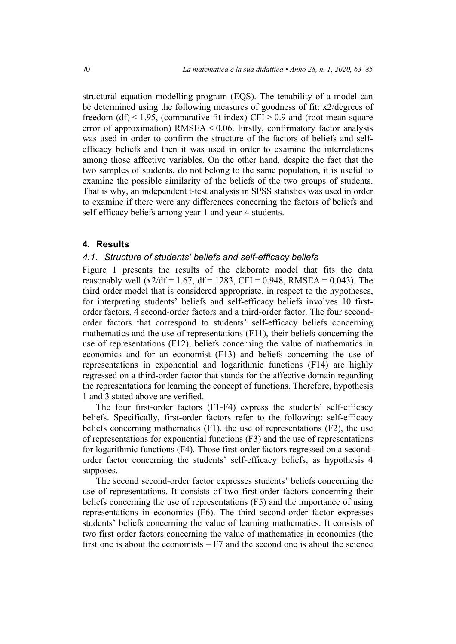structural equation modelling program (EQS). The tenability of a model can be determined using the following measures of goodness of fit: x2/degrees of freedom (df) < 1.95, (comparative fit index) CFI > 0.9 and (root mean square error of approximation) RMSEA < 0.06. Firstly, confirmatory factor analysis was used in order to confirm the structure of the factors of beliefs and selfefficacy beliefs and then it was used in order to examine the interrelations among those affective variables. On the other hand, despite the fact that the two samples of students, do not belong to the same population, it is useful to examine the possible similarity of the beliefs of the two groups of students. That is why, an independent t-test analysis in SPSS statistics was used in order to examine if there were any differences concerning the factors of beliefs and self-efficacy beliefs among year-1 and year-4 students.

### **4. Results**

# *4.1. Structure of students' beliefs and self-efficacy beliefs*

Figure 1 presents the results of the elaborate model that fits the data reasonably well (x2/df = 1.67, df = 1283, CFI = 0.948, RMSEA = 0.043). The third order model that is considered appropriate, in respect to the hypotheses, for interpreting students' beliefs and self-efficacy beliefs involves 10 firstorder factors, 4 second-order factors and a third-order factor. The four secondorder factors that correspond to students' self-efficacy beliefs concerning mathematics and the use of representations (F11), their beliefs concerning the use of representations (F12), beliefs concerning the value of mathematics in economics and for an economist (F13) and beliefs concerning the use of representations in exponential and logarithmic functions (F14) are highly regressed on a third-order factor that stands for the affective domain regarding the representations for learning the concept of functions. Therefore, hypothesis 1 and 3 stated above are verified.

The four first-order factors (F1-F4) express the students' self-efficacy beliefs. Specifically, first-order factors refer to the following: self-efficacy beliefs concerning mathematics (F1), the use of representations (F2), the use of representations for exponential functions (F3) and the use of representations for logarithmic functions (F4). Those first-order factors regressed on a secondorder factor concerning the students' self-efficacy beliefs, as hypothesis 4 supposes.

The second second-order factor expresses students' beliefs concerning the use of representations. It consists of two first-order factors concerning their beliefs concerning the use of representations (F5) and the importance of using representations in economics (F6). The third second-order factor expresses students' beliefs concerning the value of learning mathematics. It consists of two first order factors concerning the value of mathematics in economics (the first one is about the economists  $- F7$  and the second one is about the science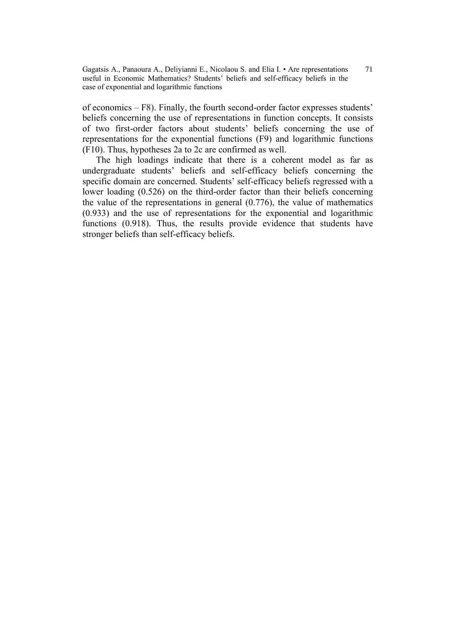of economics – F8). Finally, the fourth second-order factor expresses students' beliefs concerning the use of representations in function concepts. It consists of two first-order factors about students' beliefs concerning the use of representations for the exponential functions (F9) and logarithmic functions (F10). Thus, hypotheses 2a to 2c are confirmed as well.

The high loadings indicate that there is a coherent model as far as undergraduate students' beliefs and self-efficacy beliefs concerning the specific domain are concerned. Students' self-efficacy beliefs regressed with a lower loading (0.526) on the third-order factor than their beliefs concerning the value of the representations in general (0.776), the value of mathematics (0.933) and the use of representations for the exponential and logarithmic functions (0.918). Thus, the results provide evidence that students have stronger beliefs than self-efficacy beliefs.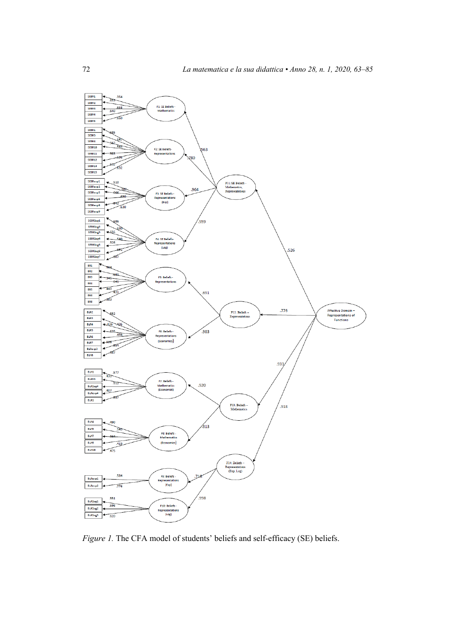

*Figure 1.* The CFA model of students' beliefs and self-efficacy (SE) beliefs.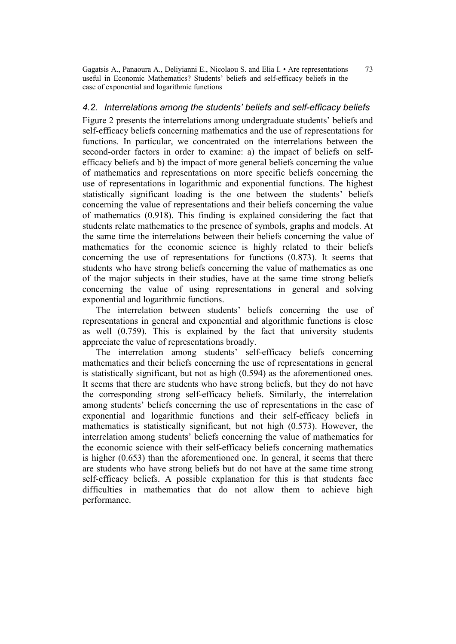# *4.2. Interrelations among the students' beliefs and self-efficacy beliefs*

Figure 2 presents the interrelations among undergraduate students' beliefs and self-efficacy beliefs concerning mathematics and the use of representations for functions. In particular, we concentrated on the interrelations between the second-order factors in order to examine: a) the impact of beliefs on selfefficacy beliefs and b) the impact of more general beliefs concerning the value of mathematics and representations on more specific beliefs concerning the use of representations in logarithmic and exponential functions. The highest statistically significant loading is the one between the students' beliefs concerning the value of representations and their beliefs concerning the value of mathematics (0.918). This finding is explained considering the fact that students relate mathematics to the presence of symbols, graphs and models. At the same time the interrelations between their beliefs concerning the value of mathematics for the economic science is highly related to their beliefs concerning the use of representations for functions (0.873). It seems that students who have strong beliefs concerning the value of mathematics as one of the major subjects in their studies, have at the same time strong beliefs concerning the value of using representations in general and solving exponential and logarithmic functions.

The interrelation between students' beliefs concerning the use of representations in general and exponential and algorithmic functions is close as well (0.759). This is explained by the fact that university students appreciate the value of representations broadly.

The interrelation among students' self-efficacy beliefs concerning mathematics and their beliefs concerning the use of representations in general is statistically significant, but not as high (0.594) as the aforementioned ones. It seems that there are students who have strong beliefs, but they do not have the corresponding strong self-efficacy beliefs. Similarly, the interrelation among students' beliefs concerning the use of representations in the case of exponential and logarithmic functions and their self-efficacy beliefs in mathematics is statistically significant, but not high (0.573). However, the interrelation among students' beliefs concerning the value of mathematics for the economic science with their self-efficacy beliefs concerning mathematics is higher (0.653) than the aforementioned one. In general, it seems that there are students who have strong beliefs but do not have at the same time strong self-efficacy beliefs. A possible explanation for this is that students face difficulties in mathematics that do not allow them to achieve high performance.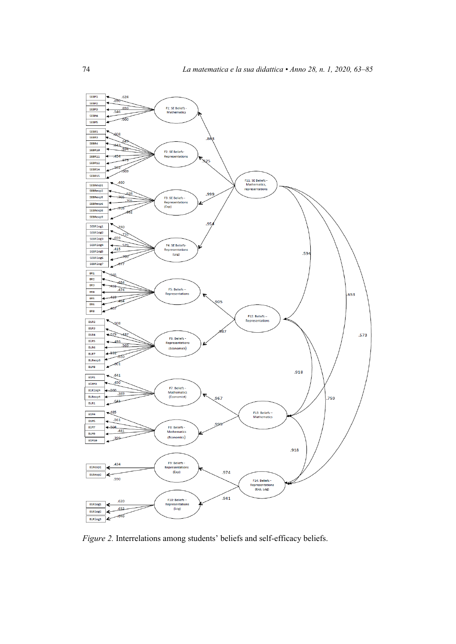

*Figure 2.* Interrelations among students' beliefs and self-efficacy beliefs.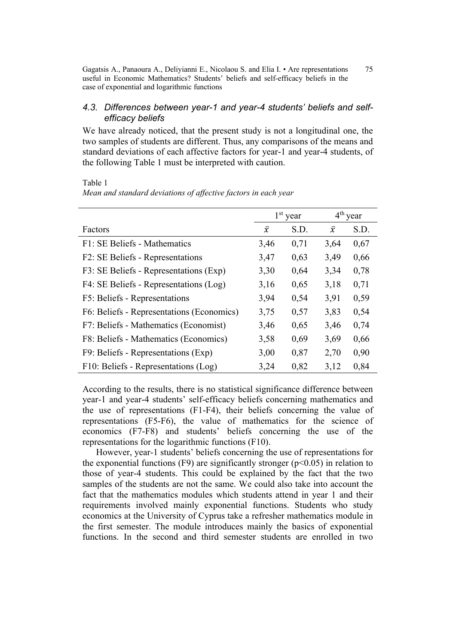### *4.3. Differences between year-1 and year-4 students' beliefs and selfefficacy beliefs*

We have already noticed, that the present study is not a longitudinal one, the two samples of students are different. Thus, any comparisons of the means and standard deviations of each affective factors for year-1 and year-4 students, of the following Table 1 must be interpreted with caution.

Table 1

|                                           | $1st$ year |      | $4th$ year |      |
|-------------------------------------------|------------|------|------------|------|
| Factors                                   | $\bar{x}$  | S.D. | $\bar{x}$  | S.D. |
| F1: SE Beliefs - Mathematics              | 3,46       | 0,71 | 3,64       | 0,67 |
| F2: SE Beliefs - Representations          | 3,47       | 0,63 | 3,49       | 0,66 |
| F3: SE Beliefs - Representations (Exp)    | 3,30       | 0,64 | 3,34       | 0,78 |
| F4: SE Beliefs - Representations (Log)    | 3,16       | 0,65 | 3,18       | 0,71 |
| F5: Beliefs - Representations             | 3,94       | 0,54 | 3,91       | 0,59 |
| F6: Beliefs - Representations (Economics) | 3,75       | 0,57 | 3,83       | 0,54 |
| F7: Beliefs - Mathematics (Economist)     | 3,46       | 0,65 | 3,46       | 0,74 |
| F8: Beliefs - Mathematics (Economics)     | 3,58       | 0,69 | 3,69       | 0,66 |
| F9: Beliefs - Representations (Exp)       | 3,00       | 0,87 | 2,70       | 0,90 |
| F10: Beliefs - Representations (Log)      | 3,24       | 0,82 | 3,12       | 0,84 |

*Mean and standard deviations of affective factors in each year*

According to the results, there is no statistical significance difference between year-1 and year-4 students' self-efficacy beliefs concerning mathematics and the use of representations (F1-F4), their beliefs concerning the value of representations (F5-F6), the value of mathematics for the science of economics (F7-F8) and students' beliefs concerning the use of the representations for the logarithmic functions (F10).

However, year-1 students' beliefs concerning the use of representations for the exponential functions (F9) are significantly stronger ( $p<0.05$ ) in relation to those of year-4 students. This could be explained by the fact that the two samples of the students are not the same. We could also take into account the fact that the mathematics modules which students attend in year 1 and their requirements involved mainly exponential functions. Students who study economics at the University of Cyprus take a refresher mathematics module in the first semester. The module introduces mainly the basics of exponential functions. In the second and third semester students are enrolled in two

75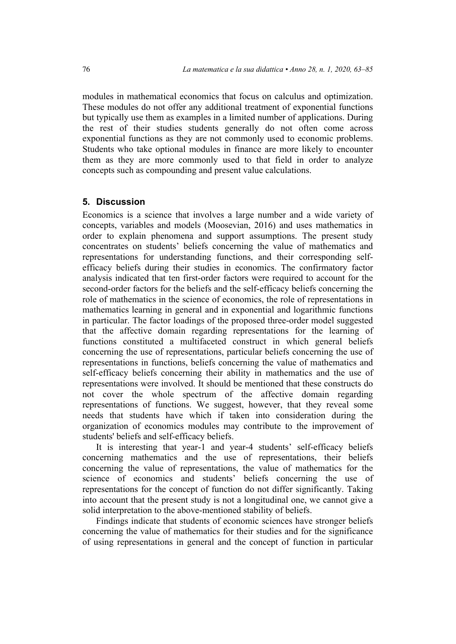modules in mathematical economics that focus on calculus and optimization. These modules do not offer any additional treatment of exponential functions but typically use them as examples in a limited number of applications. During the rest of their studies students generally do not often come across exponential functions as they are not commonly used to economic problems. Students who take optional modules in finance are more likely to encounter them as they are more commonly used to that field in order to analyze concepts such as compounding and present value calculations.

# **5. Discussion**

Economics is a science that involves a large number and a wide variety of concepts, variables and models (Moosevian, 2016) and uses mathematics in order to explain phenomena and support assumptions. The present study concentrates on students' beliefs concerning the value of mathematics and representations for understanding functions, and their corresponding selfefficacy beliefs during their studies in economics. The confirmatory factor analysis indicated that ten first-order factors were required to account for the second-order factors for the beliefs and the self-efficacy beliefs concerning the role of mathematics in the science of economics, the role of representations in mathematics learning in general and in exponential and logarithmic functions in particular. The factor loadings of the proposed three-order model suggested that the affective domain regarding representations for the learning of functions constituted a multifaceted construct in which general beliefs concerning the use of representations, particular beliefs concerning the use of representations in functions, beliefs concerning the value of mathematics and self-efficacy beliefs concerning their ability in mathematics and the use of representations were involved. It should be mentioned that these constructs do not cover the whole spectrum of the affective domain regarding representations of functions. We suggest, however, that they reveal some needs that students have which if taken into consideration during the organization of economics modules may contribute to the improvement of students' beliefs and self-efficacy beliefs.

It is interesting that year-1 and year-4 students' self-efficacy beliefs concerning mathematics and the use of representations, their beliefs concerning the value of representations, the value of mathematics for the science of economics and students' beliefs concerning the use of representations for the concept of function do not differ significantly. Taking into account that the present study is not a longitudinal one, we cannot give a solid interpretation to the above-mentioned stability of beliefs.

Findings indicate that students of economic sciences have stronger beliefs concerning the value of mathematics for their studies and for the significance of using representations in general and the concept of function in particular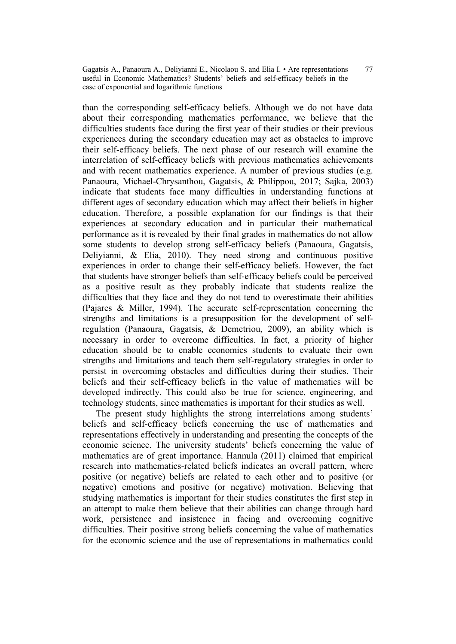77

than the corresponding self-efficacy beliefs. Although we do not have data about their corresponding mathematics performance, we believe that the difficulties students face during the first year of their studies or their previous experiences during the secondary education may act as obstacles to improve their self-efficacy beliefs. The next phase of our research will examine the interrelation of self-efficacy beliefs with previous mathematics achievements and with recent mathematics experience. A number of previous studies (e.g. Panaoura, Michael-Chrysanthou, Gagatsis, & Philippou, 2017; Sajka, 2003) indicate that students face many difficulties in understanding functions at different ages of secondary education which may affect their beliefs in higher education. Therefore, a possible explanation for our findings is that their experiences at secondary education and in particular their mathematical performance as it is revealed by their final grades in mathematics do not allow some students to develop strong self-efficacy beliefs (Panaoura, Gagatsis, Deliyianni, & Elia, 2010). They need strong and continuous positive experiences in order to change their self-efficacy beliefs. However, the fact that students have stronger beliefs than self-efficacy beliefs could be perceived as a positive result as they probably indicate that students realize the difficulties that they face and they do not tend to overestimate their abilities (Pajares & Miller, 1994). The accurate self-representation concerning the strengths and limitations is a presupposition for the development of selfregulation (Panaoura, Gagatsis, & Demetriou, 2009), an ability which is necessary in order to overcome difficulties. In fact, a priority of higher education should be to enable economics students to evaluate their own strengths and limitations and teach them self-regulatory strategies in order to persist in overcoming obstacles and difficulties during their studies. Their beliefs and their self-efficacy beliefs in the value of mathematics will be developed indirectly. This could also be true for science, engineering, and technology students, since mathematics is important for their studies as well.

The present study highlights the strong interrelations among students' beliefs and self-efficacy beliefs concerning the use of mathematics and representations effectively in understanding and presenting the concepts of the economic science. The university students' beliefs concerning the value of mathematics are of great importance. Hannula (2011) claimed that empirical research into mathematics-related beliefs indicates an overall pattern, where positive (or negative) beliefs are related to each other and to positive (or negative) emotions and positive (or negative) motivation. Believing that studying mathematics is important for their studies constitutes the first step in an attempt to make them believe that their abilities can change through hard work, persistence and insistence in facing and overcoming cognitive difficulties. Their positive strong beliefs concerning the value of mathematics for the economic science and the use of representations in mathematics could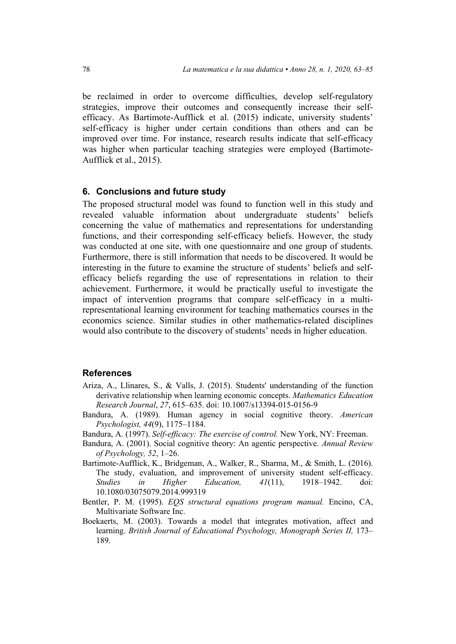be reclaimed in order to overcome difficulties, develop self-regulatory strategies, improve their outcomes and consequently increase their selfefficacy. As Bartimote-Aufflick et al. (2015) indicate, university students' self-efficacy is higher under certain conditions than others and can be improved over time. For instance, research results indicate that self-efficacy was higher when particular teaching strategies were employed (Bartimote-Aufflick et al., 2015).

#### **6. Conclusions and future study**

The proposed structural model was found to function well in this study and revealed valuable information about undergraduate students' beliefs concerning the value of mathematics and representations for understanding functions, and their corresponding self-efficacy beliefs. However, the study was conducted at one site, with one questionnaire and one group of students. Furthermore, there is still information that needs to be discovered. It would be interesting in the future to examine the structure of students' beliefs and selfefficacy beliefs regarding the use of representations in relation to their achievement. Furthermore, it would be practically useful to investigate the impact of intervention programs that compare self-efficacy in a multirepresentational learning environment for teaching mathematics courses in the economics science. Similar studies in other mathematics-related disciplines would also contribute to the discovery of students' needs in higher education.

#### **References**

- Ariza, A., Llinares, S., & Valls, J. (2015). Students' understanding of the function derivative relationship when learning economic concepts. *Mathematics Education Research Journal*, *27*, 615–635. doi: 10.1007/s13394-015-0156-9
- Bandura, A. (1989). Human agency in social cognitive theory. *American Psychologist, 44*(9), 1175–1184.
- Bandura, A. (1997). *Self-efficacy: The exercise of control.* New York, NY: Freeman.
- Bandura, A. (2001). Social cognitive theory: An agentic perspective. *Annual Review of Psychology, 52*, 1–26.

Bartimote-Aufflick, K., Bridgeman, A., Walker, R., Sharma, M., & Smith, L. (2016). The study, evaluation, and improvement of university student self-efficacy. *Studies in Higher Education, 41*(11), 1918–1942. doi: 10.1080/03075079.2014.999319

- Bentler, P. M. (1995). *EQS structural equations program manual.* Encino, CA, Multivariate Software Inc.
- Boekaerts, M. (2003). Towards a model that integrates motivation, affect and learning. *British Journal of Educational Psychology, Monograph Series II,* 173– 189.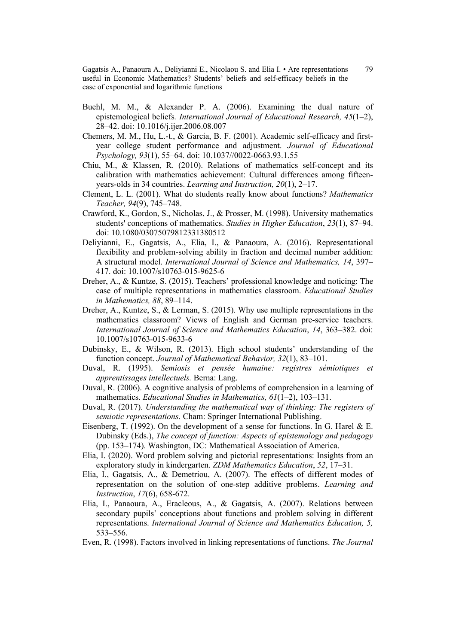- Buehl, M. M., & Alexander P. A. (2006). Examining the dual nature of epistemological beliefs*. International Journal of Educational Research, 45*(1–2), 28–42. doi: 10.1016/j.ijer.2006.08.007
- Chemers, M. M., Hu, L.-t., & Garcia, B. F. (2001). Academic self-efficacy and firstyear college student performance and adjustment. *Journal of Educational Psychology, 93*(1), 55–64. doi: 10.1037//0022-0663.93.1.55
- Chiu, M., & Klassen, R. (2010). Relations of mathematics self-concept and its calibration with mathematics achievement: Cultural differences among fifteenyears-olds in 34 countries. *Learning and Instruction, 20*(1), 2–17.
- Clement, L. L. (2001). What do students really know about functions? *Mathematics Teacher, 94*(9), 745–748.
- Crawford, K., Gordon, S., Nicholas, J., & Prosser, M. (1998). University mathematics students' conceptions of mathematics. *Studies in Higher Education*, *23*(1), 87–94. doi: 10.1080/03075079812331380512
- Deliyianni, E., Gagatsis, A., Elia, I., & Panaoura, A. (2016). Representational flexibility and problem-solving ability in fraction and decimal number addition: A structural model. *International Journal of Science and Mathematics, 14*, 397– 417. doi: 10.1007/s10763-015-9625-6
- Dreher, A., & Kuntze, S. (2015). Teachers' professional knowledge and noticing: The case of multiple representations in mathematics classroom. *Educational Studies in Mathematics, 88*, 89–114.
- Dreher, A., Kuntze, S., & Lerman, S. (2015). Why use multiple representations in the mathematics classroom? Views of English and German pre-service teachers. *International Journal of Science and Mathematics Education*, *14*, 363–382. doi: 10.1007/s10763-015-9633-6
- Dubinsky, E., & Wilson, R. (2013). High school students' understanding of the function concept. *Journal of Mathematical Behavior, 32*(1), 83–101.
- Duval, R. (1995). *Semiosis et pensée humaine: registres sémiotiques et apprentissages intellectuels.* Berna: Lang.
- Duval, R. (2006). A cognitive analysis of problems of comprehension in a learning of mathematics. *Educational Studies in Mathematics, 61*(1–2), 103–131.
- Duval, R. (2017). *Understanding the mathematical way of thinking: The registers of semiotic representations*. Cham: Springer International Publishing.
- Eisenberg, T. (1992). On the development of a sense for functions. In G. Harel & E. Dubinsky (Eds.), *The concept of function: Aspects of epistemology and pedagogy* (pp. 153–174). Washington, DC: Mathematical Association of America.
- Elia, I. (2020). Word problem solving and pictorial representations: Insights from an exploratory study in kindergarten. *ZDM Mathematics Education*, *52*, 17–31.
- Elia, I., Gagatsis, A., & Demetriou, A. (2007). The effects of different modes of representation on the solution of one-step additive problems. *Learning and Instruction*, *17*(6), 658-672.
- Elia, I., Panaoura, A., Eracleous, A., & Gagatsis, A. (2007). Relations between secondary pupils' conceptions about functions and problem solving in different representations. *International Journal of Science and Mathematics Education, 5,* 533–556.
- Even, R. (1998). Factors involved in linking representations of functions. *The Journal*

79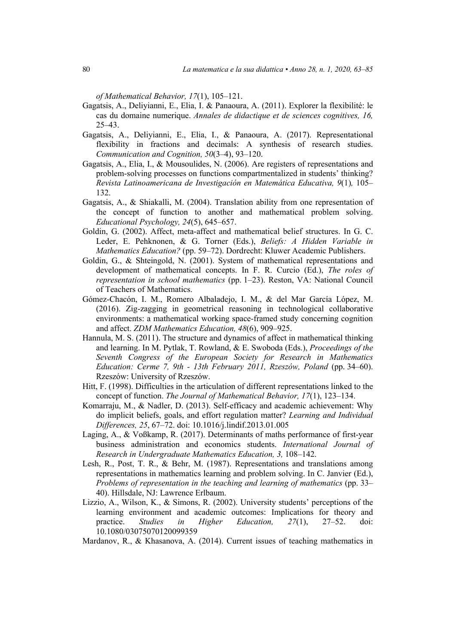*of Mathematical Behavior, 17*(1), 105–121.

- Gagatsis, A., Deliyianni, E., Elia, I. & Panaoura, A. (2011). Explorer la flexibilité: le cas du domaine numerique. *Annales de didactique et de sciences cognitives, 16,* 25–43.
- Gagatsis, A., Deliyianni, E., Elia, I., & Panaoura, A. (2017). Representational flexibility in fractions and decimals: A synthesis of research studies. *Communication and Cognition, 50*(3–4), 93–120.
- Gagatsis, A., Elia, I., & Mousoulides, N. (2006). Are registers of representations and problem-solving processes on functions compartmentalized in students' thinking? *Revista Latinoamericana de Investigación en Matemática Educativa, 9*(1)*,* 105– 132.
- Gagatsis, A., & Shiakalli, M. (2004). Translation ability from one representation of the concept of function to another and mathematical problem solving. *Educational Psychology, 24*(5), 645–657.
- Goldin, G. (2002). Affect, meta-affect and mathematical belief structures. In G. C. Leder, E. Pehknonen, & G. Torner (Eds.), *Beliefs: A Hidden Variable in Mathematics Education?* (pp. 59–72). Dordrecht: Kluwer Academic Publishers.
- Goldin, G., & Shteingold, N. (2001). System of mathematical representations and development of mathematical concepts. In F. R. Curcio (Ed.), *The roles of representation in school mathematics* (pp. 1–23). Reston, VA: National Council of Teachers of Mathematics.
- Gómez-Chacón, I. M., Romero Albaladejo, I. M., & del Mar García López, M. (2016). Zig-zagging in geometrical reasoning in technological collaborative environments: a mathematical working space-framed study concerning cognition and affect. *ZDM Mathematics Education, 48*(6), 909–925.
- Hannula, M. S. (2011). The structure and dynamics of affect in mathematical thinking and learning. In M. Pytlak, T. Rowland, & E. Swoboda (Eds.), *Proceedings of the Seventh Congress of the European Society for Research in Mathematics Education: Cerme 7, 9th - 13th February 2011, Rzeszów, Poland* (pp. 34–60). Rzeszów: University of Rzeszów.
- Hitt, F. (1998). Difficulties in the articulation of different representations linked to the concept of function. *The Journal of Mathematical Behavior, 17*(1), 123–134.
- Komarraju, M., & Nadler, D. (2013). Self-efficacy and academic achievement: Why do implicit beliefs, goals, and effort regulation matter? *Learning and Individual Differences, 25*, 67–72. doi: 10.1016/j.lindif.2013.01.005
- Laging, A., & Voßkamp, R. (2017). Determinants of maths performance of first-year business administration and economics students. *International Journal of Research in Undergraduate Mathematics Education, 3,* 108–142.
- Lesh, R., Post, T. R., & Behr, M. (1987). Representations and translations among representations in mathematics learning and problem solving. In C. Janvier (Ed.), *Problems of representation in the teaching and learning of mathematics (pp. 33–* 40). Hillsdale, NJ: Lawrence Erlbaum.
- Lizzio, A., Wilson, K., & Simons, R. (2002). University students' perceptions of the learning environment and academic outcomes: Implications for theory and practice. *Studies in Higher Education, 27*(1), 27–52. doi: 10.1080/03075070120099359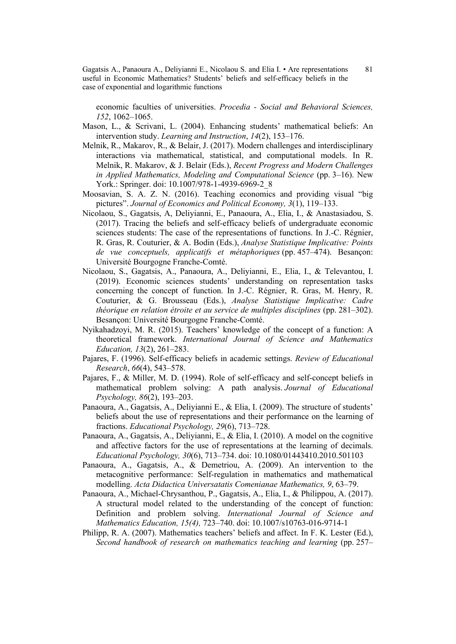economic faculties of universities. *Procedia - Social and Behavioral Sciences, 152*, 1062–1065.

- Mason, L., & Scrivani, L. (2004). Enhancing students' mathematical beliefs: An intervention study. *Learning and Instruction*, *14*(2), 153–176.
- Melnik, R., Makarov, R., & Belair, J. (2017). Modern challenges and interdisciplinary interactions via mathematical, statistical, and computational models. In R. Melnik, R. Makarov, & J. Belair (Eds.), *Recent Progress and Modern Challenges in Applied Mathematics, Modeling and Computational Science* (pp. 3–16). New York.: Springer. doi: 10.1007/978-1-4939-6969-2\_8
- Moosavian, S. A. Z. N. (2016). Teaching economics and providing visual "big pictures". *Journal of Economics and Political Economy, 3*(1), 119–133.
- Nicolaou, S., Gagatsis, A, Deliyianni, E., Panaoura, A., Elia, I., & Anastasiadou, S. (2017). Tracing the beliefs and self-efficacy beliefs of undergraduate economic sciences students: The case of the representations of functions. In J.-C. Régnier, R. Gras, R. Couturier, & A. Bodin (Eds.), *Analyse Statistique Implicative: Points de vue conceptuels, applicatifs et métaphoriques* (pp. 457–474). Besançon: Université Bourgogne Franche-Comté.
- Nicolaou, S., Gagatsis, A., Panaoura, A., Deliyianni, E., Elia, I., & Televantou, I. (2019). Economic sciences students' understanding on representation tasks concerning the concept of function. In J.-C. Régnier, R. Gras, M. Henry, R. Couturier, & G. Brousseau (Eds.), *Analyse Statistique Implicative: Cadre théorique en relation étroite et au service de multiples disciplines* (pp. 281–302). Besançon: Université Bourgogne Franche-Comté.
- Nyikahadzoyi, M. R. (2015). Teachers' knowledge of the concept of a function: A theoretical framework. *International Journal of Science and Mathematics Education, 13*(2), 261–283.
- Pajares, F. (1996). Self-efficacy beliefs in academic settings. *Review of Educational Research*, *66*(4), 543–578.
- Pajares, F., & Miller, M. D. (1994). Role of self-efficacy and self-concept beliefs in mathematical problem solving: A path analysis. *Journal of Educational Psychology, 86*(2), 193–203.
- Panaoura, A., Gagatsis, A., Deliyianni E., & Elia, I. (2009). The structure of students' beliefs about the use of representations and their performance on the learning of fractions. *Educational Psychology, 29*(6), 713–728.
- Panaoura, A., Gagatsis, A., Deliyianni, E., & Elia, I. (2010). A model on the cognitive and affective factors for the use of representations at the learning of decimals. *Educational Psychology, 30*(6), 713–734. doi: 10.1080/01443410.2010.501103
- Panaoura, A., Gagatsis, A., & Demetriou, A. (2009). An intervention to the metacognitive performance: Self-regulation in mathematics and mathematical modelling. *Acta Didactica Universatatis Comenianae Mathematics, 9*, 63–79.
- Panaoura, A., Michael-Chrysanthou, P., Gagatsis, A., Elia, I., & Philippou, A. (2017). A structural model related to the understanding of the concept of function: Definition and problem solving. *International Journal of Science and Mathematics Education, 15(4),* 723–740. doi: 10.1007/s10763-016-9714-1
- Philipp, R. A. (2007). Mathematics teachers' beliefs and affect. In F. K. Lester (Ed.), *Second handbook of research on mathematics teaching and learning* (pp. 257–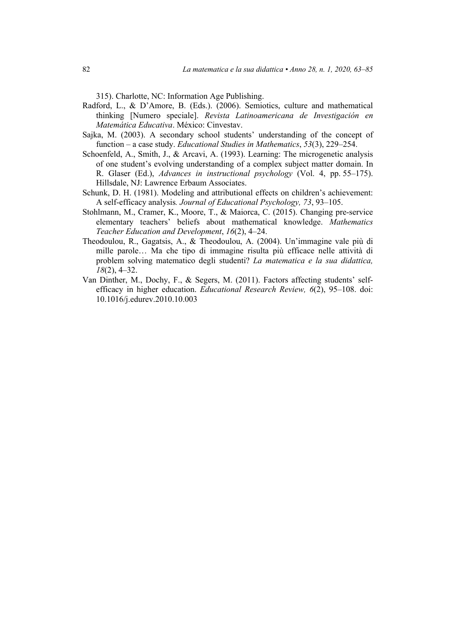315). Charlotte, NC: Information Age Publishing.

- Radford, L., & D'Amore, B. (Eds.). (2006). Semiotics, culture and mathematical thinking [Numero speciale]. *Revista Latinoamericana de Investigación en Matemática Educativa*. México: Cinvestav.
- Sajka, M. (2003). A secondary school students' understanding of the concept of function – a case study. *Educational Studies in Mathematics*, *53*(3), 229–254.
- Schoenfeld, A., Smith, J., & Arcavi, A. (1993). Learning: The microgenetic analysis of one student's evolving understanding of a complex subject matter domain. In R. Glaser (Ed.), *Advances in instructional psychology* (Vol. 4, pp. 55–175). Hillsdale, NJ: Lawrence Erbaum Associates.
- Schunk, D. H. (1981). Modeling and attributional effects on children's achievement: A self-efficacy analysis*. Journal of Educational Psychology, 73*, 93–105.
- Stohlmann, M., Cramer, K., Moore, T., & Maiorca, C. (2015). Changing pre-service elementary teachers' beliefs about mathematical knowledge. *Mathematics Teacher Education and Development*, *16*(2), 4–24.
- Theodoulou, R., Gagatsis, A., & Theodoulou, A. (2004). Un'immagine vale più di mille parole… Ma che tipo di immagine risulta più efficace nelle attività di problem solving matematico degli studenti? *La matematica e la sua didattica, 18*(2), 4–32.
- Van Dinther, M., Dochy, F., & Segers, M. (2011). Factors affecting students' selfefficacy in higher education. *Educational Research Review, 6*(2), 95–108. doi: 10.1016/j.edurev.2010.10.003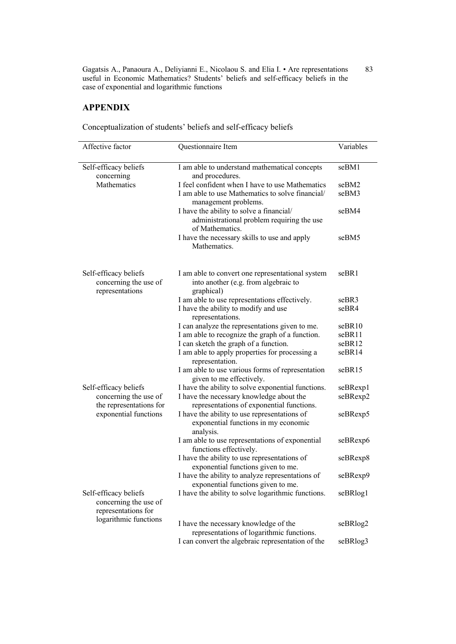## **APPENDIX**

| Affective factor                                                                               | Questionnaire Item                                                                                        | Variables |
|------------------------------------------------------------------------------------------------|-----------------------------------------------------------------------------------------------------------|-----------|
|                                                                                                |                                                                                                           |           |
| Self-efficacy beliefs<br>concerning                                                            | I am able to understand mathematical concepts<br>and procedures.                                          | seBM1     |
| Mathematics                                                                                    | I feel confident when I have to use Mathematics                                                           | seBM2     |
|                                                                                                | I am able to use Mathematics to solve financial/<br>management problems.                                  | seBM3     |
|                                                                                                | I have the ability to solve a financial/<br>administrational problem requiring the use<br>of Mathematics. | seBM4     |
|                                                                                                | I have the necessary skills to use and apply<br>Mathematics.                                              | seBM5     |
| Self-efficacy beliefs<br>concerning the use of<br>representations                              | I am able to convert one representational system<br>into another (e.g. from algebraic to<br>graphical)    | seBR1     |
|                                                                                                | I am able to use representations effectively.                                                             | seBR3     |
|                                                                                                | I have the ability to modify and use<br>representations.                                                  | seBR4     |
|                                                                                                | I can analyze the representations given to me.                                                            | seBR10    |
|                                                                                                | I am able to recognize the graph of a function.                                                           | seBR11    |
|                                                                                                | I can sketch the graph of a function.                                                                     | seBR12    |
|                                                                                                | I am able to apply properties for processing a<br>representation.                                         | seBR14    |
|                                                                                                | I am able to use various forms of representation<br>given to me effectively.                              | seBR15    |
| Self-efficacy beliefs                                                                          | I have the ability to solve exponential functions.                                                        | seBRexp1  |
| concerning the use of<br>the representations for                                               | I have the necessary knowledge about the<br>representations of exponential functions.                     | seBRexp2  |
| exponential functions                                                                          | I have the ability to use representations of<br>exponential functions in my economic<br>analysis.         | seBRexp5  |
|                                                                                                | I am able to use representations of exponential<br>functions effectively.                                 | seBRexp6  |
|                                                                                                | I have the ability to use representations of<br>exponential functions given to me.                        | seBRexp8  |
|                                                                                                | I have the ability to analyze representations of<br>exponential functions given to me.                    | seBRexp9  |
| Self-efficacy beliefs<br>concerning the use of<br>representations for<br>logarithmic functions | I have the ability to solve logarithmic functions.                                                        | seBRlog1  |
|                                                                                                | I have the necessary knowledge of the<br>representations of logarithmic functions.                        | seBRlog2  |
|                                                                                                | I can convert the algebraic representation of the                                                         | seBRlog3  |

Conceptualization of students' beliefs and self-efficacy beliefs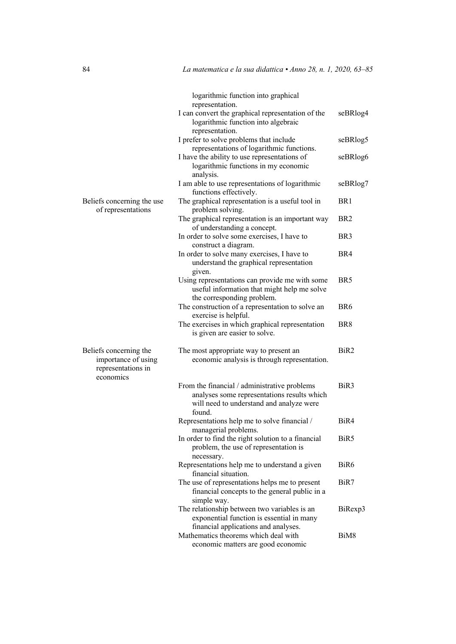|                                                                                  | logarithmic function into graphical                                                                                                               |                  |
|----------------------------------------------------------------------------------|---------------------------------------------------------------------------------------------------------------------------------------------------|------------------|
|                                                                                  | representation.<br>I can convert the graphical representation of the<br>logarithmic function into algebraic<br>representation.                    | seBRlog4         |
|                                                                                  | I prefer to solve problems that include                                                                                                           | seBRlog5         |
|                                                                                  | representations of logarithmic functions.<br>I have the ability to use representations of<br>logarithmic functions in my economic<br>analysis.    | seBRlog6         |
|                                                                                  | I am able to use representations of logarithmic<br>functions effectively.                                                                         | seBRlog7         |
| Beliefs concerning the use<br>of representations                                 | The graphical representation is a useful tool in<br>problem solving.                                                                              | BR <sub>1</sub>  |
|                                                                                  | The graphical representation is an important way<br>of understanding a concept.                                                                   | BR <sub>2</sub>  |
|                                                                                  | In order to solve some exercises, I have to<br>construct a diagram.                                                                               | BR <sub>3</sub>  |
|                                                                                  | In order to solve many exercises, I have to<br>understand the graphical representation<br>given.                                                  | BR4              |
|                                                                                  | Using representations can provide me with some<br>useful information that might help me solve<br>the corresponding problem.                       | BR <sub>5</sub>  |
|                                                                                  | The construction of a representation to solve an<br>exercise is helpful.                                                                          | BR <sub>6</sub>  |
|                                                                                  | The exercises in which graphical representation<br>is given are easier to solve.                                                                  | BR <sub>8</sub>  |
| Beliefs concerning the<br>importance of using<br>representations in<br>economics | The most appropriate way to present an<br>economic analysis is through representation.                                                            | BiR2             |
|                                                                                  | From the financial / administrative problems<br>analyses some representations results which<br>will need to understand and analyze were<br>found. | BiR3             |
|                                                                                  | Representations help me to solve financial /<br>managerial problems.                                                                              | BiR4             |
|                                                                                  | In order to find the right solution to a financial<br>problem, the use of representation is<br>necessary.                                         | BiR <sub>5</sub> |
|                                                                                  | Representations help me to understand a given<br>financial situation.                                                                             | BiR <sub>6</sub> |
|                                                                                  | The use of representations helps me to present<br>financial concepts to the general public in a<br>simple way.                                    | BiR7             |
|                                                                                  | The relationship between two variables is an<br>exponential function is essential in many<br>financial applications and analyses.                 | BiRexp3          |
|                                                                                  | Mathematics theorems which deal with<br>economic matters are good economic                                                                        | BiM <sub>8</sub> |